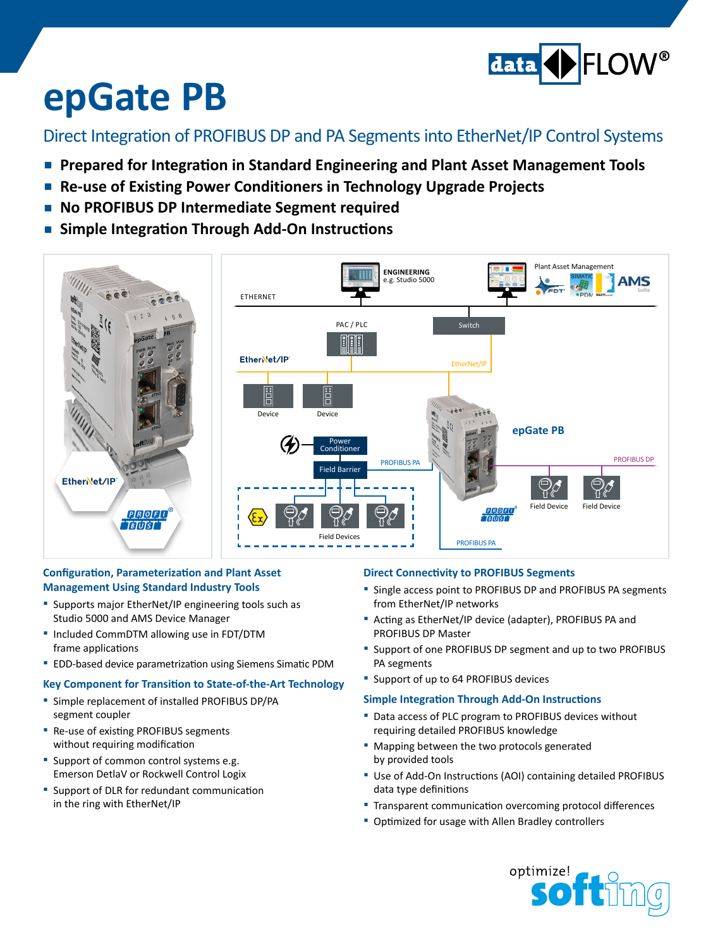

# **epGate PB**

### Direct Integration of PROFIBUS DP and PA Segmentsinto EtherNet/IP Control Systems

- **Prepared for Integration in Standard Engineering and Plant Asset Management Tools**
- **Re-use of Existing Power Conditioners in Technology Upgrade Projects**
- **▪ No PROFIBUS DP Intermediate Segment required**
- **▪ Simple Integration Through Add-On Instructions**



#### **Configuration, Parameterization and Plant Asset Management Using Standard Industry Tools**

- **▪**  Supports major EtherNet/IP engineering tools such as Studio 5000 and AMS Device Manager
- **▪**  Included CommDTM allowing use in FDT/DTM frame applications
- EDD-based device parametrization using Siemens Simatic PDM

#### **Key Component for Transition to State-of-the-Art Technology**

- Simple replacement of installed PROFIBUS DP/PA segment coupler
- **■** Re-use of existing PROFIBUS segments without requiring modification
- Support of common control systems e.g. Emerson DetlaV or Rockwell Control Logix
- Support of DLR for redundant communication in the ring with EtherNet/IP

#### **Direct Connectivity to PROFIBUS Segments**

- Single access point to PROFIBUS DP and PROFIBUS PA segments from EtherNet/IP networks
- **▪**  Acting as EtherNet/IP device (adapter), PROFIBUS PA and PROFIBUS DP Master
- Support of one PROFIBUS DP segment and up to two PROFIBUS PA segments
- **▪**  Support of up to 64 PROFIBUS devices

#### **Simple Integration Through Add-On Instructions**

- Data access of PLC program to PROFIBUS devices without requiring detailed PROFIBUS knowledge
- Mapping between the two protocols generated by provided tools
- Use of Add-On Instructions (AOI) containing detailed PROFIBUS data type definitions
- Transparent communication overcoming protocol differences
- Optimized for usage with Allen Bradley controllers